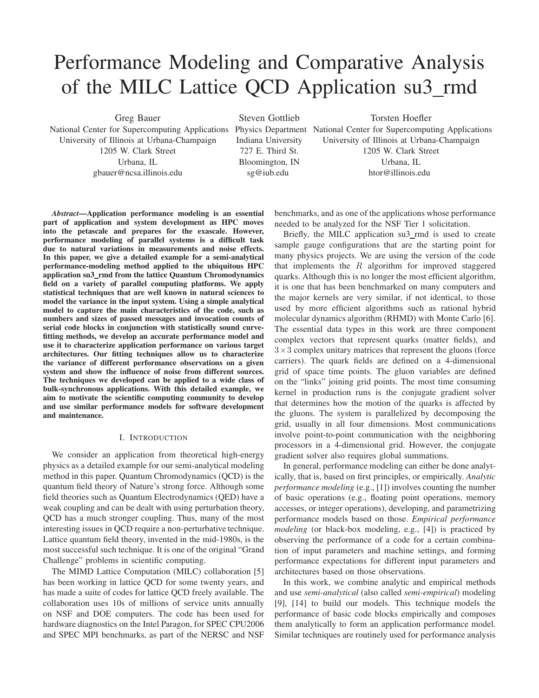# Performance Modeling and Comparative Analysis of the MILC Lattice QCD Application su3\_rmd

Greg Bauer

National Center for Supercomputing Applications University of Illinois at Urbana-Champaign 1205 W. Clark Street Urbana, IL

gbauer@ncsa.illinois.edu

Steven Gottlieb Indiana University 727 E. Third St. Bloomington, IN sg@iub.edu

Physics Department National Center for Supercomputing Applications Torsten Hoefler University of Illinois at Urbana-Champaign 1205 W. Clark Street Urbana, IL htor@illinois.edu

*Abstract***—Application performance modeling is an essential part of application and system development as HPC moves into the petascale and prepares for the exascale. However, performance modeling of parallel systems is a difficult task due to natural variations in measurements and noise effects. In this paper, we give a detailed example for a semi-analytical performance-modeling method applied to the ubiquitous HPC application su3 rmd from the lattice Quantum Chromodynamics field on a variety of parallel computing platforms. We apply statistical techniques that are well known in natural sciences to model the variance in the input system. Using a simple analytical model to capture the main characteristics of the code, such as numbers and sizes of passed messages and invocation counts of serial code blocks in conjunction with statistically sound curvefitting methods, we develop an accurate performance model and use it to characterize application performance on various target architectures. Our fitting techniques allow us to characterize the variance of different performance observations on a given system and show the influence of noise from different sources. The techniques we developed can be applied to a wide class of bulk-synchronous applications. With this detailed example, we aim to motivate the scientific computing community to develop and use similar performance models for software development and maintenance.**

## I. INTRODUCTION

We consider an application from theoretical high-energy physics as a detailed example for our semi-analytical modeling method in this paper. Quantum Chromodynamics (QCD) is the quantum field theory of Nature's strong force. Although some field theories such as Quantum Electrodynamics (QED) have a weak coupling and can be dealt with using perturbation theory, QCD has a much stronger coupling. Thus, many of the most interesting issues in QCD require a non-perturbative technique. Lattice quantum field theory, invented in the mid-1980s, is the most successful such technique. It is one of the original "Grand Challenge" problems in scientific computing.

The MIMD Lattice Computation (MILC) collaboration [5] has been working in lattice QCD for some twenty years, and has made a suite of codes for lattice QCD freely available. The collaboration uses 10s of millions of service units annually on NSF and DOE computers. The code has been used for hardware diagnostics on the Intel Paragon, for SPEC CPU2006 and SPEC MPI benchmarks, as part of the NERSC and NSF

benchmarks, and as one of the applications whose performance needed to be analyzed for the NSF Tier 1 solicitation.

Briefly, the MILC application su<sub>3\_rmd</sub> is used to create sample gauge configurations that are the starting point for many physics projects. We are using the version of the code that implements the  $R$  algorithm for improved staggered quarks. Although this is no longer the most efficient algorithm, it is one that has been benchmarked on many computers and the major kernels are very similar, if not identical, to those used by more efficient algorithms such as rational hybrid molecular dynamics algorithm (RHMD) with Monte Carlo [6]. The essential data types in this work are three component complex vectors that represent quarks (matter fields), and  $3\times3$  complex unitary matrices that represent the gluons (force carriers). The quark fields are defined on a 4-dimensional grid of space time points. The gluon variables are defined on the "links" joining grid points. The most time consuming kernel in production runs is the conjugate gradient solver that determines how the motion of the quarks is affected by the gluons. The system is parallelized by decomposing the grid, usually in all four dimensions. Most communications involve point-to-point communication with the neighboring processors in a 4-dimensional grid. However, the conjugate gradient solver also requires global summations.

In general, performance modeling can either be done analytically, that is, based on first principles, or empirically. *Analytic performance modeling* (e.g., [1]) involves counting the number of basic operations (e.g., floating point operations, memory accesses, or integer operations), developing, and parametrizing performance models based on those. *Empirical performance modeling* (or black-box modeling, e.g., [4]) is practiced by observing the performance of a code for a certain combination of input parameters and machine settings, and forming performance expectations for different input parameters and architectures based on those observations.

In this work, we combine analytic and empirical methods and use *semi-analytical* (also called *semi-empirical*) modeling [9], [14] to build our models. This technique models the performance of basic code blocks empirically and composes them analytically to form an application performance model. Similar techniques are routinely used for performance analysis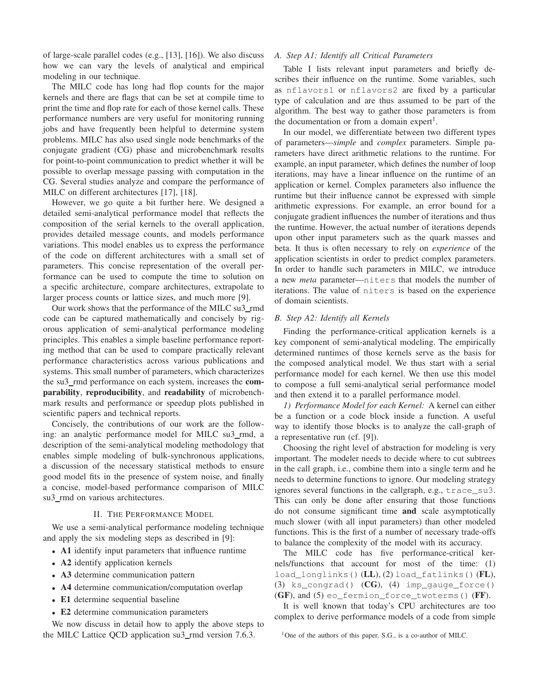of large-scale parallel codes (e.g., [13], [16]). We also discuss how we can vary the levels of analytical and empirical modeling in our technique.

The MILC code has long had flop counts for the major kernels and there are flags that can be set at compile time to print the time and flop rate for each of those kernel calls. These performance numbers are very useful for monitoring running jobs and have frequently been helpful to determine system problems. MILC has also used single node benchmarks of the conjugate gradient (CG) phase and microbenchmark results for point-to-point communication to predict whether it will be possible to overlap message passing with computation in the CG. Several studies analyze and compare the performance of MILC on different architectures [17], [18].

However, we go quite a bit further here. We designed a detailed semi-analytical performance model that reflects the composition of the serial kernels to the overall application, provides detailed message counts, and models performance variations. This model enables us to express the performance of the code on different architectures with a small set of parameters. This concise representation of the overall performance can be used to compute the time to solution on a specific architecture, compare architectures, extrapolate to larger process counts or lattice sizes, and much more [9].

Our work shows that the performance of the MILC su3\_rmd code can be captured mathematically and concisely by rigorous application of semi-analytical performance modeling principles. This enables a simple baseline performance reporting method that can be used to compare practically relevant performance characteristics across various publications and systems. This small number of parameters, which characterizes the su3\_rmd performance on each system, increases the **comparability**, **reproducibility**, and **readability** of microbenchmark results and performance or speedup plots published in scientific papers and technical reports.

Concisely, the contributions of our work are the following: an analytic performance model for MILC su3\_rmd, a description of the semi-analytical modeling methodology that enables simple modeling of bulk-synchronous applications, a discussion of the necessary statistical methods to ensure good model fits in the presence of system noise, and finally a concise, model-based performance comparison of MILC su3 rmd on various architectures.

## II. THE PERFORMANCE MODEL

We use a semi-analytical performance modeling technique and apply the six modeling steps as described in [9]:

- A1 identify input parameters that influence runtime
- **A2** identify application kernels
- **A3** determine communication pattern
- **A4** determine communication/computation overlap
- **E1** determine sequential baseline
- **E2** determine communication parameters

We now discuss in detail how to apply the above steps to the MILC Lattice QCD application su3\_rmd version 7.6.3.

#### *A. Step A1: Identify all Critical Parameters*

Table I lists relevant input parameters and briefly describes their influence on the runtime. Some variables, such as nflavors1 or nflavors2 are fixed by a particular type of calculation and are thus assumed to be part of the algorithm. The best way to gather those parameters is from the documentation or from a domain expert<sup>1</sup>.

In our model, we differentiate between two different types of parameters—*simple* and *complex* parameters. Simple parameters have direct arithmetic relations to the runtime. For example, an input parameter, which defines the number of loop iterations, may have a linear influence on the runtime of an application or kernel. Complex parameters also influence the runtime but their influence cannot be expressed with simple arithmetic expressions. For example, an error bound for a conjugate gradient influences the number of iterations and thus the runtime. However, the actual number of iterations depends upon other input parameters such as the quark masses and beta. It thus is often necessary to rely on *experience* of the application scientists in order to predict complex parameters. In order to handle such parameters in MILC, we introduce a new *meta* parameter—niters that models the number of iterations. The value of niters is based on the experience of domain scientists.

#### *B. Step A2: Identify all Kernels*

Finding the performance-critical application kernels is a key component of semi-analytical modeling. The empirically determined runtimes of those kernels serve as the basis for the composed analytical model. We thus start with a serial performance model for each kernel. We then use this model to compose a full semi-analytical serial performance model and then extend it to a parallel performance model.

*1) Performance Model for each Kernel:* A kernel can either be a function or a code block inside a function. A useful way to identify those blocks is to analyze the call-graph of a representative run (cf. [9]).

Choosing the right level of abstraction for modeling is very important. The modeler needs to decide where to cut subtrees in the call graph, i.e., combine them into a single term and he needs to determine functions to ignore. Our modeling strategy ignores several functions in the callgraph, e.g., trace\_su3. This can only be done after ensuring that those functions do not consume significant time **and** scale asymptotically much slower (with all input parameters) than other modeled functions. This is the first of a number of necessary trade-offs to balance the complexity of the model with its accuracy.

The MILC code has five performance-critical kernels/functions that account for most of the time: (1) load\_longlinks() (**LL**), (2) load\_fatlinks() (**FL**), (3) ks\_congrad() (**CG**), (4) imp\_gauge\_force() (**GF**), and (5) eo\_fermion\_force\_twoterms() (**FF**).

It is well known that today's CPU architectures are too complex to derive performance models of a code from simple

<sup>&</sup>lt;sup>1</sup>One of the authors of this paper, S.G., is a co-author of MILC.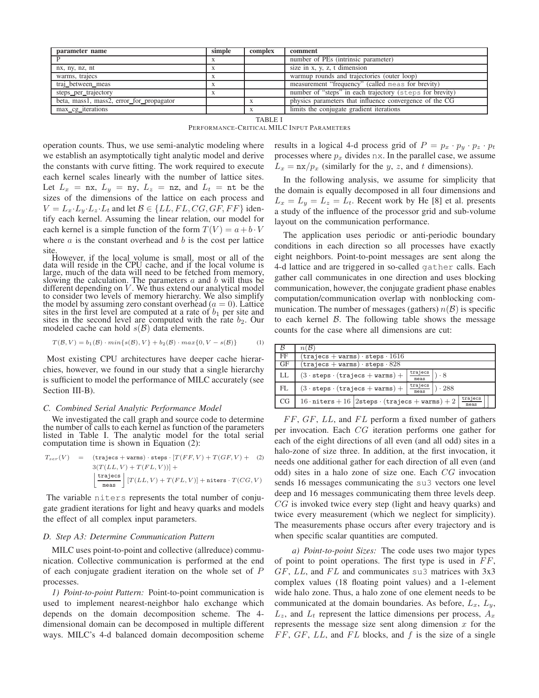| parameter name                           | simple | complex | comment                                                  |
|------------------------------------------|--------|---------|----------------------------------------------------------|
|                                          |        |         | number of PEs (intrinsic parameter)                      |
| nx, ny, nz, nt                           |        |         | size in $x, y, z, t$ dimension                           |
| warms, trajecs                           |        |         | warmup rounds and trajectories (outer loop)              |
| traj_between_meas                        |        |         | measurement "frequency" (called meas for brevity)        |
| steps_per_trajectory                     |        |         | number of "steps" in each trajectory (steps for brevity) |
| beta, mass1, mass2, error_for_propagator |        |         | physics parameters that influence convergence of the CG  |
| max_cg_iterations                        |        |         | limits the conjugate gradient iterations                 |
|                                          |        |         |                                                          |

TABLE I

PERFORMANCE-CRITICAL MILC INPUT PARAMETERS

operation counts. Thus, we use semi-analytic modeling where we establish an asymptotically tight analytic model and derive the constants with curve fitting. The work required to execute each kernel scales linearly with the number of lattice sites. Let  $L_x = \text{nx}$ ,  $L_y = \text{ny}$ ,  $L_z = \text{nz}$ , and  $L_t = \text{nt}$  be the sizes of the dimensions of the lattice on each process and  $V = L_x \cdot L_y \cdot L_z \cdot L_t$  and let  $\mathcal{B} \in \{LL, FL, CG, GF, FF\}$  identify each kernel. Assuming the linear relation, our model for each kernel is a simple function of the form  $T(V) = a + b \cdot V$ where  $a$  is the constant overhead and  $b$  is the cost per lattice site.

However, if the local volume is small, most or all of the data will reside in the CPU cache, and if the local volume is large, much of the data will need to be fetched from memory, slowing the calculation. The parameters  $a$  and  $b$  will thus be different depending on  $V$ . We thus extend our analytical model to consider two levels of memory hierarchy. We also simplify the model by assuming zero constant overhead ( $a = 0$ ). Lattice sites in the first level are computed at a rate of  $b_1$  per site and sites in the second level are computed with the rate  $b_2$ . Our modeled cache can hold  $s(\mathcal{B})$  data elements.

$$
T(\mathcal{B}, V) = b_1(\mathcal{B}) \cdot min\{s(\mathcal{B}), V\} + b_2(\mathcal{B}) \cdot max\{0, V - s(\mathcal{B})\}
$$
 (1)

Most existing CPU architectures have deeper cache hierarchies, however, we found in our study that a single hierarchy is sufficient to model the performance of MILC accurately (see Section III-B).

#### *C. Combined Serial Analytic Performance Model*

We investigated the call graph and source code to determine the number of calls to each kernel as function of the parameters listed in Table I. The analytic model for the total serial computation time is shown in Equation (2):

$$
T_{ser}(V) = (\text{trajecs} + \text{warms}) \cdot \text{steps} \cdot [T(FF, V) + T(GF, V) + (2)
$$

$$
3(T(LL, V) + T(FL, V))] +
$$

$$
\frac{\text{trajecs}}{\text{meas}} \cdot [T(LL, V) + T(FL, V)] + \text{niters} \cdot T(CG, V)
$$

The variable niters represents the total number of conjugate gradient iterations for light and heavy quarks and models the effect of all complex input parameters.

### *D. Step A3: Determine Communication Pattern*

MILC uses point-to-point and collective (allreduce) communication. Collective communication is performed at the end of each conjugate gradient iteration on the whole set of P processes.

*1) Point-to-point Pattern:* Point-to-point communication is used to implement nearest-neighbor halo exchange which depends on the domain decomposition scheme. The 4 dimensional domain can be decomposed in multiple different ways. MILC's 4-d balanced domain decomposition scheme results in a logical 4-d process grid of  $P = p_x \cdot p_y \cdot p_z \cdot p_t$ processes where  $p_x$  divides nx. In the parallel case, we assume  $L_x = \frac{nx}{p_x}$  (similarly for the y, z, and t dimensions).

In the following analysis, we assume for simplicity that the domain is equally decomposed in all four dimensions and  $L_x = L_y = L_z = L_t$ . Recent work by He [8] et al. presents a study of the influence of the processor grid and sub-volume layout on the communication performance.

The application uses periodic or anti-periodic boundary conditions in each direction so all processes have exactly eight neighbors. Point-to-point messages are sent along the 4-d lattice and are triggered in so-called gather calls. Each gather call communicates in one direction and uses blocking communication, however, the conjugate gradient phase enables computation/communication overlap with nonblocking communication. The number of messages (gathers)  $n(\mathcal{B})$  is specific to each kernel  $\beta$ . The following table shows the message counts for the case where all dimensions are cut:

|               | $n(\mathcal{B})$                                                                            |                 |           |                 |  |
|---------------|---------------------------------------------------------------------------------------------|-----------------|-----------|-----------------|--|
| FF            | $(\texttt{trajecs} + \texttt{warms}) \cdot \texttt{steps} \cdot 1616$                       |                 |           |                 |  |
| GF            | $(\texttt{trajecs} + \texttt{warms}) \cdot \texttt{steps} \cdot 828$                        |                 |           |                 |  |
| LL            | $(3 \cdot \text{steps} \cdot (\text{trajecs} + \text{warms}) +$                             | trajecs<br>meas | $\cdot$ 8 |                 |  |
| FL            | trajecs<br>0.288<br>$(3 \cdot \text{steps} \cdot (\text{trajecs} + \text{warms}) +$<br>meas |                 |           |                 |  |
| <sub>CG</sub> | $16 \cdot n$ iters + 16   2steps $\cdot$ (trajecs + warms) + 2                              |                 |           | trajecs<br>meas |  |

 $FF, GF, LL$ , and  $FL$  perform a fixed number of gathers per invocation. Each CG iteration performs one gather for each of the eight directions of all even (and all odd) sites in a halo-zone of size three. In addition, at the first invocation, it needs one additional gather for each direction of all even (and odd) sites in a halo zone of size one. Each CG invocation sends 16 messages communicating the su3 vectors one level deep and 16 messages communicating them three levels deep. CG is invoked twice every step (light and heavy quarks) and twice every measurement (which we neglect for simplicity). The measurements phase occurs after every trajectory and is when specific scalar quantities are computed.

*a) Point-to-point Sizes:* The code uses two major types of point to point operations. The first type is used in  $FF$ ,  $GF, LL$ , and  $FL$  and communicates su3 matrices with 3x3 complex values (18 floating point values) and a 1-element wide halo zone. Thus, a halo zone of one element needs to be communicated at the domain boundaries. As before,  $L_x$ ,  $L_y$ ,  $L_z$ , and  $L_t$  represent the lattice dimensions per process,  $A_x$ represents the message size sent along dimension  $x$  for the  $FF, GF, LL$ , and  $FL$  blocks, and  $f$  is the size of a single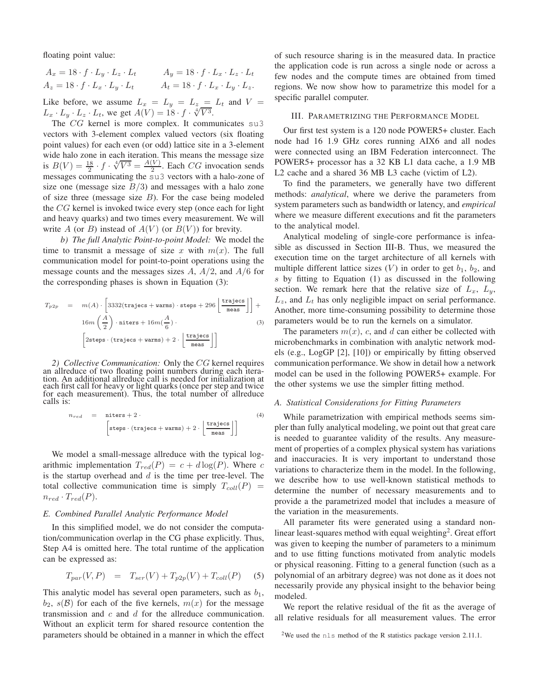floating point value:

 $A_x = 18 \cdot f \cdot L_y \cdot L_z \cdot L_t$ <br>  $A_z = 18 \cdot f \cdot L_x \cdot L_y \cdot L_t$ <br>  $A_t = 18 \cdot f \cdot L_x \cdot L_y \cdot L_z.$  $A_t = 18 \cdot f \cdot L_x \cdot L_y \cdot L_z.$ 

Like before, we assume  $L_x = L_y = L_z = L_t$  and  $V =$  $L_x \cdot L_y \cdot L_z \cdot L_t$ , we get  $A(V) = 18 \cdot f \cdot \sqrt[4]{V^3}$ .

The CG kernel is more complex. It communicates su3 vectors with 3-element complex valued vectors (six floating point values) for each even (or odd) lattice site in a 3-element wide halo zone in each iteration. This means the message size is  $B(V) = \frac{18}{2} \cdot f \cdot \sqrt[4]{V^3} = \frac{A(V)}{2}$  $\frac{V}{2}$ . Each *CG* invocation sends messages communicating the su3 vectors with a halo-zone of size one (message size  $B/3$ ) and messages with a halo zone of size three (message size  $B$ ). For the case being modeled the CG kernel is invoked twice every step (once each for light and heavy quarks) and two times every measurement. We will write A (or B) instead of  $A(V)$  (or  $B(V)$ ) for brevity.

*b) The full Analytic Point-to-point Model:* We model the time to transmit a message of size x with  $m(x)$ . The full communication model for point-to-point operations using the message counts and the messages sizes  $A$ ,  $A/2$ , and  $A/6$  for the corresponding phases is shown in Equation (3):

$$
T_{p2p} = m(A) \cdot \left[ 3332(\text{trajecs} + \text{warms}) \cdot \text{steps} + 296 \left\lfloor \frac{\text{trajecs}}{\text{meas}} \right\rfloor \right] +
$$
  

$$
16m\left(\frac{A}{2}\right) \cdot \text{niters} + 16m\left(\frac{A}{6}\right) \cdot \tag{3}
$$
  

$$
\left[ 2\text{steps} \cdot (\text{trajecs} + \text{warms}) + 2 \cdot \left\lfloor \frac{\text{trajecs}}{\text{meas}} \right\rfloor \right]
$$

*2) Collective Communication:* Only the CG kernel requires an allreduce of two floating point numbers during each iteration. An additional allreduce call is needed for initialization at each first call for heavy or light quarks (once per step and twice for each measurement). Thus, the total number of allreduce calls is:

$$
n_{red} = \text{niters} + 2.
$$
\n(4)\n
$$
\left[ \text{steps} \cdot (\text{trajecs} + \text{warms}) + 2 \cdot \left\lfloor \frac{\text{trajecs}}{\text{meas}} \right\rfloor \right]
$$

We model a small-message allreduce with the typical logarithmic implementation  $T_{red}(P) = c + d \log(P)$ . Where c is the startup overhead and  $d$  is the time per tree-level. The total collective communication time is simply  $T_{coll}(P)$  =  $n_{red} \cdot T_{red}(P)$ .

## *E. Combined Parallel Analytic Performance Model*

In this simplified model, we do not consider the computation/communication overlap in the CG phase explicitly. Thus, Step A4 is omitted here. The total runtime of the application can be expressed as:

$$
T_{par}(V, P) = T_{ser}(V) + T_{p2p}(V) + T_{coll}(P) \tag{5}
$$

This analytic model has several open parameters, such as  $b_1$ ,  $b_2$ ,  $s(\mathcal{B})$  for each of the five kernels,  $m(x)$  for the message transmission and  $c$  and  $d$  for the allreduce communication. Without an explicit term for shared resource contention the parameters should be obtained in a manner in which the effect

of such resource sharing is in the measured data. In practice the application code is run across a single node or across a few nodes and the compute times are obtained from timed regions. We now show how to parametrize this model for a specific parallel computer.

## III. PARAMETRIZING THE PERFORMANCE MODEL

Our first test system is a 120 node POWER5+ cluster. Each node had 16 1.9 GHz cores running AIX6 and all nodes were connected using an IBM Federation interconnect. The POWER5+ processor has a 32 KB L1 data cache, a 1.9 MB L2 cache and a shared 36 MB L3 cache (victim of L2).

To find the parameters, we generally have two different methods: *analytical*, where we derive the parameters from system parameters such as bandwidth or latency, and *empirical* where we measure different executions and fit the parameters to the analytical model.

Analytical modeling of single-core performance is infeasible as discussed in Section III-B. Thus, we measured the execution time on the target architecture of all kernels with multiple different lattice sizes  $(V)$  in order to get  $b_1$ ,  $b_2$ , and s by fitting to Equation (1) as discussed in the following section. We remark here that the relative size of  $L_x$ ,  $L_y$ ,  $L_z$ , and  $L_t$  has only negligible impact on serial performance. Another, more time-consuming possibility to determine those parameters would be to run the kernels on a simulator.

The parameters  $m(x)$ , c, and d can either be collected with microbenchmarks in combination with analytic network models (e.g., LogGP [2], [10]) or empirically by fitting observed communication performance. We show in detail how a network model can be used in the following POWER5+ example. For the other systems we use the simpler fitting method.

## *A. Statistical Considerations for Fitting Parameters*

While parametrization with empirical methods seems simpler than fully analytical modeling, we point out that great care is needed to guarantee validity of the results. Any measurement of properties of a complex physical system has variations and inaccuracies. It is very important to understand those variations to characterize them in the model. In the following, we describe how to use well-known statistical methods to determine the number of necessary measurements and to provide a the parametrized model that includes a measure of the variation in the measurements.

All parameter fits were generated using a standard nonlinear least-squares method with equal weighting<sup>2</sup>. Great effort was given to keeping the number of parameters to a minimum and to use fitting functions motivated from analytic models or physical reasoning. Fitting to a general function (such as a polynomial of an arbitrary degree) was not done as it does not necessarily provide any physical insight to the behavior being modeled.

We report the relative residual of the fit as the average of all relative residuals for all measurement values. The error

<sup>2</sup>We used the nls method of the R statistics package version 2.11.1.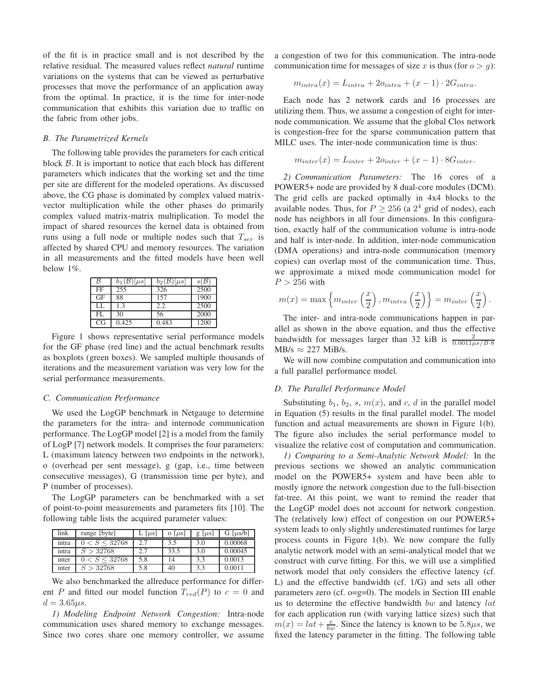of the fit is in practice small and is not described by the relative residual. The measured values reflect *natural* runtime variations on the systems that can be viewed as perturbative processes that move the performance of an application away from the optimal. In practice, it is the time for inter-node communication that exhibits this variation due to traffic on the fabric from other jobs.

#### *B. The Parametrized Kernels*

The following table provides the parameters for each critical block B. It is important to notice that each block has different parameters which indicates that the working set and the time per site are different for the modeled operations. As discussed above, the CG phase is dominated by complex valued matrixvector multiplication while the other phases do primarily complex valued matrix-matrix multiplication. To model the impact of shared resources the kernel data is obtained from runs using a full node or multiple nodes such that  $T_{ser}$  is affected by shared CPU and memory resources. The variation in all measurements and the fitted models have been well below 1%.

| ß  | $(\mathcal{B})$   $\mu$ s <br>b1 | $b_2(\mathcal{B}) \mu s $ | s (B |
|----|----------------------------------|---------------------------|------|
| FF | 255                              | 326                       | 2500 |
| GF | 88                               | 157                       | 1900 |
| LL | 1.3                              | 2.2                       | 2500 |
| FL | 30                               | 56                        | 2000 |
| CG | 0.425                            | 0.483                     | 1200 |

Figure 1 shows representative serial performance models for the GF phase (red line) and the actual benchmark results as boxplots (green boxes). We sampled multiple thousands of iterations and the measurement variation was very low for the serial performance measurements.

## *C. Communication Performance*

We used the LogGP benchmark in Netgauge to determine the parameters for the intra- and internode communication performance. The LogGP model [2] is a model from the family of LogP [7] network models. It comprises the four parameters: L (maximum latency between two endpoints in the network), o (overhead per sent message), g (gap, i.e., time between consecutive messages), G (transmission time per byte), and P (number of processes).

The LogGP parameters can be benchmarked with a set of point-to-point measurements and parameters fits [10]. The following table lists the acquired parameter values:

| link  | range [byte]        | $\mu$ s! | $ \mu s $ | $\mu$ s<br>g | G [ $\mu$ s/b] |
|-------|---------------------|----------|-----------|--------------|----------------|
| intra | $\leq S \leq 32768$ |          | 3.5       | 3.0          | 0.00068        |
| intra | >32768              |          | 33.5      | 3.0          | 0.00045        |
| inter | < 32768             | 5.8      | 14        | 3.3          | 0.0013         |
| inter | 32768               | 5.8      | 40        | 3.3          |                |

We also benchmarked the allreduce performance for different P and fitted our model function  $T_{red}(P)$  to  $c = 0$  and  $d = 3.65 \mu s$ .

*1) Modeling Endpoint Network Congestion:* Intra-node communication uses shared memory to exchange messages. Since two cores share one memory controller, we assume a congestion of two for this communication. The intra-node communication time for messages of size x is thus (for  $o > g$ ):

$$
m_{intra}(x) = L_{intra} + 2o_{intra} + (x - 1) \cdot 2G_{intra}.
$$

Each node has 2 network cards and 16 processes are utilizing them. Thus, we assume a congestion of eight for internode communication. We assume that the global Clos network is congestion-free for the sparse communication pattern that MILC uses. The inter-node communication time is thus:

$$
m_{inter}(x) = L_{inter} + 2o_{inter} + (x - 1) \cdot 8G_{inter}.
$$

*2) Communication Parameters:* The 16 cores of a POWER5+ node are provided by 8 dual-core modules (DCM). The grid cells are packed optimally in 4x4 blocks to the available nodes. Thus, for  $P \ge 256$  (a  $2^4$  grid of nodes), each node has neighbors in all four dimensions. In this configuration, exactly half of the communication volume is intra-node and half is inter-node. In addition, inter-node communication (DMA operations) and intra-node communication (memory copies) can overlap most of the communication time. Thus, we approximate a mixed mode communication model for  $P > 256$  with

$$
m(x) = \max \left\{ m_{inter}\left(\frac{x}{2}\right), m_{intra}\left(\frac{x}{2}\right) \right\} = m_{inter}\left(\frac{x}{2}\right).
$$

The inter- and intra-node communications happen in parallel as shown in the above equation, and thus the effective bandwidth for messages larger than 32 kiB is  $\frac{2}{0.0011\mu s/B \cdot 8}$  $MB/s \approx 227$  MiB/s.

We will now combine computation and communication into a full parallel performance model.

### *D. The Parallel Performance Model*

Substituting  $b_1$ ,  $b_2$ , s,  $m(x)$ , and c, d in the parallel model in Equation (5) results in the final parallel model. The model function and actual measurements are shown in Figure 1(b). The figure also includes the serial performance model to visualize the relative cost of computation and communication.

*1) Comparing to a Semi-Analytic Network Model:* In the previous sections we showed an analytic communication model on the POWER5+ system and have been able to mostly ignore the network congestion due to the full-bisection fat-tree. At this point, we want to remind the reader that the LogGP model does not account for network congestion. The (relatively low) effect of congestion on our POWER5+ system leads to only slightly underestimated runtimes for large process counts in Figure 1(b). We now compare the fully analytic network model with an semi-analytical model that we construct with curve fitting. For this, we will use a simplified network model that only considers the effective latency (cf. L) and the effective bandwidth (cf. 1/G) and sets all other parameters zero (cf. o=g=0). The models in Section III enable us to determine the effective bandwidth  $bw$  and latency  $lat$ for each application run (with varying lattice sizes) such that  $m(x) = lat + \frac{x}{bw}$ . Since the latency is known to be 5.8 $\mu s$ , we fixed the latency parameter in the fitting. The following table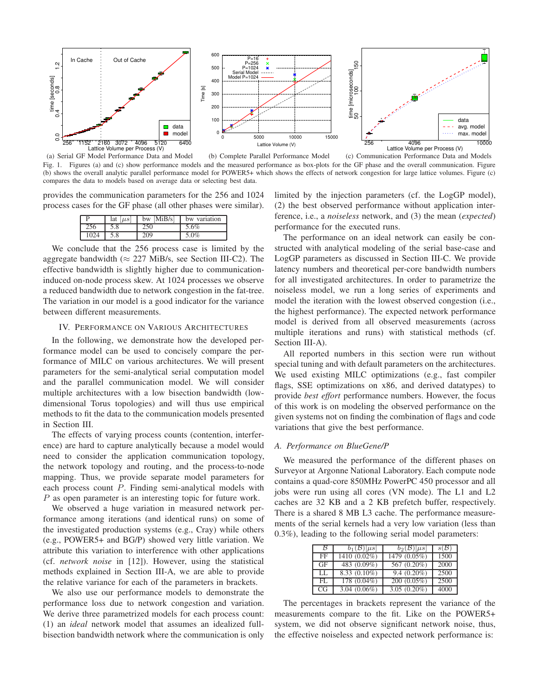

(a) Serial GF Model Performance Data and Model (b) Complete Parallel Performance Model (c) Communication Performance Data and Models Fig. 1. Figures (a) and (c) show performance models and the measured performance as box-plots for the GF phase and the overall communication. Figure (b) shows the overall analytic parallel performance model for POWER5+ which shows the effects of network congestion for large lattice volumes. Figure (c) compares the data to models based on average data or selecting best data.

provides the communication parameters for the 256 and 1024 process cases for the GF phase (all other phases were similar).

| D    | lat<br>$ _{LIS} $ | MiB/s<br>bw | variation<br>bw |
|------|-------------------|-------------|-----------------|
|      | 5.8               | 250         | 5.6%            |
| 1024 | 5.8               | 209         | 5.0%            |

We conclude that the 256 process case is limited by the aggregate bandwidth ( $\approx 227$  MiB/s, see Section III-C2). The effective bandwidth is slightly higher due to communicationinduced on-node process skew. At 1024 processes we observe a reduced bandwidth due to network congestion in the fat-tree. The variation in our model is a good indicator for the variance between different measurements.

#### IV. PERFORMANCE ON VARIOUS ARCHITECTURES

In the following, we demonstrate how the developed performance model can be used to concisely compare the performance of MILC on various architectures. We will present parameters for the semi-analytical serial computation model and the parallel communication model. We will consider multiple architectures with a low bisection bandwidth (lowdimensional Torus topologies) and will thus use empirical methods to fit the data to the communication models presented in Section III.

The effects of varying process counts (contention, interference) are hard to capture analytically because a model would need to consider the application communication topology, the network topology and routing, and the process-to-node mapping. Thus, we provide separate model parameters for each process count P. Finding semi-analytical models with P as open parameter is an interesting topic for future work.

We observed a huge variation in measured network performance among iterations (and identical runs) on some of the investigated production systems (e.g., Cray) while others (e.g., POWER5+ and BG/P) showed very little variation. We attribute this variation to interference with other applications (cf. *network noise* in [12]). However, using the statistical methods explained in Section III-A, we are able to provide the relative variance for each of the parameters in brackets.

We also use our performance models to demonstrate the performance loss due to network congestion and variation. We derive three parametrized models for each process count: (1) an *ideal* network model that assumes an idealized fullbisection bandwidth network where the communication is only limited by the injection parameters (cf. the LogGP model), (2) the best observed performance without application interference, i.e., a *noiseless* network, and (3) the mean (*expected*) performance for the executed runs.

The performance on an ideal network can easily be constructed with analytical modeling of the serial base-case and LogGP parameters as discussed in Section III-C. We provide latency numbers and theoretical per-core bandwidth numbers for all investigated architectures. In order to parametrize the noiseless model, we run a long series of experiments and model the iteration with the lowest observed congestion (i.e., the highest performance). The expected network performance model is derived from all observed measurements (across multiple iterations and runs) with statistical methods (cf. Section III-A).

All reported numbers in this section were run without special tuning and with default parameters on the architectures. We used existing MILC optimizations (e.g., fast compiler flags, SSE optimizations on x86, and derived datatypes) to provide *best effort* performance numbers. However, the focus of this work is on modeling the observed performance on the given systems not on finding the combination of flags and code variations that give the best performance.

#### *A. Performance on BlueGene/P*

We measured the performance of the different phases on Surveyor at Argonne National Laboratory. Each compute node contains a quad-core 850MHz PowerPC 450 processor and all jobs were run using all cores (VN mode). The L1 and L2 caches are 32 KB and a 2 KB prefetch buffer, respectively. There is a shared 8 MB L3 cache. The performance measurements of the serial kernels had a very low variation (less than 0.3%), leading to the following serial model parameters:

| $\mathcal{B}$ | $b_1(\mathcal{B})[\mu s]$ | $b_2(\mathcal{B})[\mu s]$ | $s(\mathcal{B})$ |
|---------------|---------------------------|---------------------------|------------------|
| FF            | 1410 (0.02%)              | 1479 (0.05%)              | 1500             |
| <b>GF</b>     | 483 $(0.09\%)$            | 567 (0.20%)               | 2000             |
| LL.           | $8.33(0.10\%)$            | $9.4(0.20\%)$             | 2500             |
| FL.           | $178(0.04\%)$             | $200(0.05\%)$             | 2500             |
| CG            | $3.04(0.06\%)$            | $3.05(0.20\%)$            | 4000             |

The percentages in brackets represent the variance of the measurements compare to the fit. Like on the POWER5+ system, we did not observe significant network noise, thus, the effective noiseless and expected network performance is: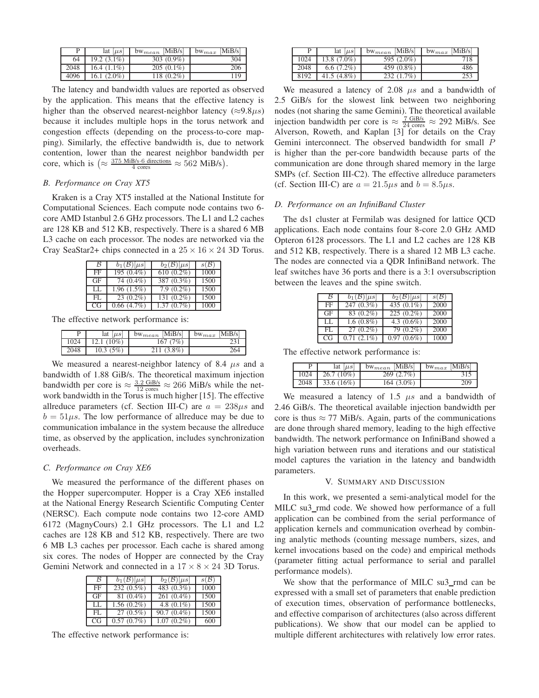|      | lat $ \mu s $ | [MiB/s]<br>$bw_{mean}$ | [MiB/s]<br>$bw_{max}$ |
|------|---------------|------------------------|-----------------------|
| 64   | 19.2 (3.1%)   | 303 $(0.9\%)$          | 304                   |
| 2048 | 16.4 (1.1%)   | $205(0.1\%)$           | 206                   |
| 4096 | $16.1(2.0\%)$ | 118 (0.2%)             | 119                   |

The latency and bandwidth values are reported as observed by the application. This means that the effective latency is higher than the observed nearest-neighbor latency ( $\approx 9.8 \mu s$ ) because it includes multiple hops in the torus network and congestion effects (depending on the process-to-core mapping). Similarly, the effective bandwidth is, due to network contention, lower than the nearest neighbor bandwidth per core, which is  $\left(\approx \frac{375 \text{ MiB/s} \cdot 6 \text{ directions}}{4 \text{ cores}} \approx 562 \text{ MiB/s}\right)$ .

#### *B. Performance on Cray XT5*

Kraken is a Cray XT5 installed at the National Institute for Computational Sciences. Each compute node contains two 6 core AMD Istanbul 2.6 GHz processors. The L1 and L2 caches are 128 KB and 512 KB, respectively. There is a shared 6 MB L3 cache on each processor. The nodes are networked via the Cray SeaStar2+ chips connected in a  $25 \times 16 \times 24$  3D Torus.

| $\mathcal{B}$ | $b_1(\mathcal{B})[\mu s]$ | $b_2(\mathcal{B}) \mu s $ | $s(\mathcal{B})$ |
|---------------|---------------------------|---------------------------|------------------|
| FF            | 195 (0.4%)                | $610(0.2\%)$              | 1000             |
| GF            | 74 (0.4%)                 | 387 (0.3%)                | 1500             |
| LL.           | 1.96 (1.5%)               | $7.9(0.2\%)$              | 1500             |
| FL.           | $23(0.2\%)$               | 131 $(0.2\%)$             | 1500             |
| CG            | 0.66(4.7%)                | $1.37(0.7\%)$             | 1000             |

The effective network performance is:

|      | lat<br>$ _{\mathcal{L}S} $ | MiB/s<br>$bw_{mean}$ | MiB/s<br>$bw_{max}$ |
|------|----------------------------|----------------------|---------------------|
| 1024 | $10\%$                     | 167 (7%)             |                     |
| 2048 | $(5\%$<br>10.3             | $3.8\%$              | 264                 |

We measured a nearest-neighbor latency of 8.4  $\mu$ s and a bandwidth of 1.88 GiB/s. The theoretical maximum injection bandwidth per core is  $\approx \frac{3.2 \text{ GiB/s}}{12 \text{ cores}} \approx 266 \text{ MiB/s}$  while the network bandwidth in the Torus is much higher [15]. The effective allreduce parameters (cf. Section III-C) are  $a = 238\mu s$  and  $b = 51 \mu s$ . The low performance of allreduce may be due to communication imbalance in the system because the allreduce time, as observed by the application, includes synchronization overheads.

## *C. Performance on Cray XE6*

We measured the performance of the different phases on the Hopper supercomputer. Hopper is a Cray XE6 installed at the National Energy Research Scientific Computing Center (NERSC). Each compute node contains two 12-core AMD 6172 (MagnyCours) 2.1 GHz processors. The L1 and L2 caches are 128 KB and 512 KB, respectively. There are two 6 MB L3 caches per processor. Each cache is shared among six cores. The nodes of Hopper are connected by the Cray Gemini Network and connected in a  $17 \times 8 \times 24$  3D Torus.

| $\mathcal{B}$ | $b_1(\mathcal{B}) \mu s $ | $b_2(\mathcal{B}) \mu s $ | $s(\mathcal{B})$ |
|---------------|---------------------------|---------------------------|------------------|
| FF            | $232(0.5\%)$              | 483 $(0.3\%)$             | 1000             |
| GF            | $81(0.4\%)$               | $261(0.4\%)$              | 1500             |
| LL            | $1.56(0.2\%)$             | 4.8 $(0.1\%)$             | 1500             |
| FL.           | $27(0.5\%)$               | $90.7(0.4\%)$             | 1500             |
| CG            | $0.57(0.7\%)$             | $1.07(0.2\%)$             | 600              |

The effective network performance is:

| Р    | lat $ \mu s $  | [MiB/s]<br>$bw_{mean}$ | MiB/s<br>$bw_{max}$ |
|------|----------------|------------------------|---------------------|
| 1024 | 13.8 (7.0%)    | 595 (2.0%)             | 718                 |
| 2048 | $6.6(7.2\%)$   | 459 (0.8%)             | 486                 |
| 8192 | 41.5 $(4.8\%)$ | $(1.7\%)$<br>232       |                     |

We measured a latency of 2.08  $\mu s$  and a bandwidth of 2.5 GiB/s for the slowest link between two neighboring nodes (not sharing the same Gemini). The theoretical available injection bandwidth per core is  $\approx \frac{7 \text{ GiB/s}}{24 \text{ cores}} \approx 292 \text{ MiB/s}$ . See Alverson, Roweth, and Kaplan [3] for details on the Cray Gemini interconnect. The observed bandwidth for small P is higher than the per-core bandwidth because parts of the communication are done through shared memory in the large SMPs (cf. Section III-C2). The effective allreduce parameters (cf. Section III-C) are  $a = 21.5 \mu s$  and  $b = 8.5 \mu s$ .

## *D. Performance on an InfiniBand Cluster*

The ds1 cluster at Fermilab was designed for lattice QCD applications. Each node contains four 8-core 2.0 GHz AMD Opteron 6128 processors. The L1 and L2 caches are 128 KB and 512 KB, respectively. There is a shared 12 MB L3 cache. The nodes are connected via a QDR InfiniBand network. The leaf switches have 36 ports and there is a 3:1 oversubscription between the leaves and the spine switch.

| $\mathcal{B}$ | $b_1(\mathcal{B})[\mu s]$   | $b_2(\mathcal{B}) \mu s $ | $s(\mathcal{B})$ |
|---------------|-----------------------------|---------------------------|------------------|
| FF            | $247(0.3\%)$                | 435 $(0.1\%)$             | 2000             |
| <b>GF</b>     | $83(0.2\%)$                 | $225(0.2\%)$              | 2000             |
| LL.           | $1.6(0.8\%)$                | $\overline{4.3(0.6\%)}$   | 2000             |
| $_{\rm{FI}}$  | $27(0.2\%)$                 | $79(0.2\%)$               | 2000             |
| CG            | $\overline{0.71}$ $(2.1\%)$ | $0.97(0.6\%)$             | 1000             |

The effective network performance is:

|      | lat<br>$ _{LLS} $ | [MiB/s]<br>$bw_{mean}$ | MiB/s<br>$bw_{max}$ |
|------|-------------------|------------------------|---------------------|
| 1024 | $(10\%)$<br>26.7  | 269 (2.7%)             |                     |
| 2048 | 33.6 (16%)        | 164 (3.0%)             | 209                 |

We measured a latency of 1.5  $\mu s$  and a bandwidth of 2.46 GiB/s. The theoretical available injection bandwidth per core is thus  $\approx$  77 MiB/s. Again, parts of the communications are done through shared memory, leading to the high effective bandwidth. The network performance on InfiniBand showed a high variation between runs and iterations and our statistical model captures the variation in the latency and bandwidth parameters.

#### V. SUMMARY AND DISCUSSION

In this work, we presented a semi-analytical model for the MILC su3\_rmd code. We showed how performance of a full application can be combined from the serial performance of application kernels and communication overhead by combining analytic methods (counting message numbers, sizes, and kernel invocations based on the code) and empirical methods (parameter fitting actual performance to serial and parallel performance models).

We show that the performance of MILC su3\_rmd can be expressed with a small set of parameters that enable prediction of execution times, observation of performance bottlenecks, and effective comparison of architectures (also across different publications). We show that our model can be applied to multiple different architectures with relatively low error rates.